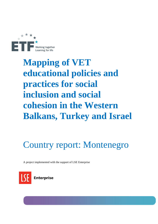

# **Mapping of VET educational policies and practices for social inclusion and social cohesion in the Western Balkans, Turkey and Israel**

# Country report: Montenegro

A project implemented with the support of LSE Enterprise

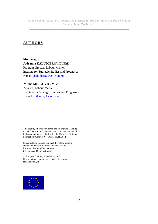\_\_\_\_\_\_\_\_\_\_\_\_\_\_\_\_\_\_\_\_\_\_\_\_\_\_\_\_\_\_\_\_\_\_\_\_\_\_\_\_\_\_\_\_\_\_\_\_\_\_\_\_\_\_\_\_\_\_\_\_\_\_\_\_\_\_\_\_\_\_

# **AUTHORS**

**Montenegro Jadranka KALUDJEROVIĆ, PhD**  Program director, Labour Market Institute for Strategic Studies and Prognoses E-mail: jkaludjerovic@t-com.me

#### **Milika MIRKOVIC, MSc**

Analyst, Labour Market Institute for Strategic Studies and Prognoses E-mail: milikam@t-com.me

This country study is part of the project entitled Mapping of VET educational policies and practices for social inclusion and social cohesion for the European Training Foundation (Contract No. CON/12/ETF/0012).

Its contents are the sole responsibility of the authors and do not necessarily reflect the views of the European Training Foundation or the European Union institutions.

© European Training Foundation, 2013 Reproduction is authorised provided the source is acknowledged.

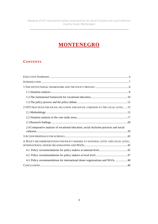\_\_\_\_\_\_\_\_\_\_\_\_\_\_\_\_\_\_\_\_\_\_\_\_\_\_\_\_\_\_\_\_\_\_\_\_\_\_\_\_\_\_\_\_\_\_\_\_\_\_\_\_\_\_\_\_\_\_\_\_\_\_\_\_\_\_\_\_\_\_

# **MONTENEGRO**

# **CONTENTS**

| 2. VET PRACTICES FOR SOCIAL INCLUSION AND SOCIAL COHESION AT THE LOCAL LEVEL 15          |
|------------------------------------------------------------------------------------------|
|                                                                                          |
|                                                                                          |
|                                                                                          |
| 2.4. Comparative analysis of vocational education, social inclusion practices and social |
|                                                                                          |
| 4. POLICY RECOMMENDATIONS FOR POLICY MAKERS AT NATIONAL LEVEL AND LOCAL LEVEL,           |
|                                                                                          |
|                                                                                          |
| 4.3. Policy recommendations for international donor organisations and NGOs48             |
|                                                                                          |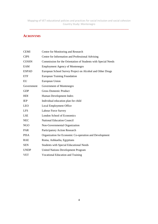# **ACRONYMS**

| <b>CEMI</b>  | Centre for Monitoring and Research                            |
|--------------|---------------------------------------------------------------|
| <b>CIPS</b>  | Centre for Information and Professional Advising              |
| <b>COSSN</b> | Commission for the Orientation of Students with Special Needs |
| EAM          | <b>Employment Agency of Montenegro</b>                        |
| <b>ESPAD</b> | European School Survey Project on Alcohol and Other Drugs     |
| <b>ETF</b>   | <b>European Training Foundation</b>                           |
| EU           | European Union                                                |
| Government   | Government of Montenegro                                      |
| <b>GDP</b>   | <b>Gross Domestic Product</b>                                 |
| HDI          | Human Development Index                                       |
| <b>IEP</b>   | Individual education plan for child                           |
| <b>LEO</b>   | <b>Local Employment Office</b>                                |
| <b>LFS</b>   | Labour Force Survey                                           |
| <b>LSE</b>   | <b>London School of Economics</b>                             |
| <b>NEC</b>   | <b>National Education Council</b>                             |
| NGO          | Non-Governmental Organization                                 |
| PAR          | Participatory Action Research                                 |
| <b>PISA</b>  | Organization for Economic Co-operation and Development        |
| <b>RAE</b>   | Roma, Ashkaelia, Egyptians                                    |
| <b>SEN</b>   | <b>Students with Special Educational Needs</b>                |
| <b>UNDP</b>  | <b>United Nations Development Program</b>                     |
| <b>VET</b>   | <b>Vocational Education and Training</b>                      |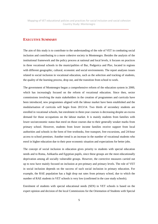\_\_\_\_\_\_\_\_\_\_\_\_\_\_\_\_\_\_\_\_\_\_\_\_\_\_\_\_\_\_\_\_\_\_\_\_\_\_\_\_\_\_\_\_\_\_\_\_\_\_\_\_\_\_\_\_\_\_\_\_\_\_\_\_\_\_\_\_\_\_

# **EXECUTIVE SUMMARY**

The aim of this study is to contribute to the understanding of the role of VET in combating social inclusion and contributing to a more cohesive society in Montenegro. Besides the analysis of the institutional framework and the policy process at national and local levels, it focuses on practices in three vocational schools in the municipalities of Bar, Podgorica and Plav, located in regions with different geographic, cultural, economic and social environments. The report analyses issues related to social inclusion in vocational education, such as the selection and tracking of students, the quality of the learning process, drop out, and the transition from school to work.

The government of Montenegro began a comprehensive reform of the education system in 2000, which has increasingly focused on the reform of vocational education. Since then, sector commissions involving the main stakeholders in the creation of programmes and curricula have been introduced, new programmes aligned with the labour market have been established and the modularisation of curricula will begin from 2013/14. Two thirds of secondary students are enrolled in vocational schools, but enrolment in three-year courses is decreasing despite an excess demand for those occupations on the labour market. It is mainly students from families with lower socioeconomic status that enrol on those courses due to their generally weaker marks from primary school. However, students from lower income families receive support from local authorities and schools in the form of free textbooks, free transport, free excursions, and 24-hour access to school premises. Another trend is an increase in the number of vocational students who enrol in higher education due to their poor economic situation and expectations for better jobs.

The concept of social inclusion in education gives priority to students with special education needs and to Roma, Ashkaelia and Egyptian pupils, since these groups are the most educationally deprivation among all socially vulnerable groups. However, the corrective measures carried out up to now have mainly focused on inclusion at pre-primary and primary levels. The role of VET in social inclusion depends on the success of such social inclusion in primary education. For example, the RAE population has a high drop out rates from primary school, due to which the number of RAE students in VET schools is very low (confirmed in the case study schools).

Enrolment of students with special educational needs (SEN) in VET schools is based on the expert opinion and decision of the local Commissions for the Orientation of Students with Special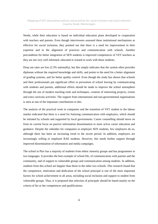Needs, while their education is based on individual education plans developed in cooperation with teachers and parents. Even though interviewees assessed these institutional mechanisms as effective for social inclusion, they pointed out that there is a need for improvement in their expertise and in the alignment of practices and communication with schools. Another precondition for better integration of SEN students is improved competences of VET teachers as they are not very well informed, educated or trained to work with those students.

Drop out rates are low (2.3% nationally), but this simply indicates that the system often provides diplomas without the required knowledge and skills, and points to the need for a better alignment of grading systems, and for better quality control. Even though the study has shown that schools and their professionals put significant effort in prevention of school leaving by communicating with students and parents, additional efforts should be made to improve the school atmosphere through the use of modern teaching tools and techniques, creation of interesting projects, events and extra curricula activities. The support from international and non-governmental organisations is seen as one of the important contributions to this.

The analysis of the practical work in companies and the transition of VET student to the labour market indicated that there is a need for fostering communication with employers, which should be initiated by schools and supported by local governments. Career counselling should move on from its current focus on passive information dissemination to more active career education and guidance. Despite the subsidies for companies to employee SEN students, few employers do so, although there has been an increasing trend in the recent period. In addition, employers are increasingly willing to employee RAE students. However, this needs further support through improved dissemination of information and media campaigns.

The school in Plav has a majority of students from ethnic minority groups and has programmes in two languages. It provides the best example of school life, of communication with parents and the community, and of support to vulnerable groups and communication among students. In addition, students from this school are happier than those in the other two schools. This research found that the competence, motivation and dedication of the school principal is one of the most important factors for school achievement in all areas, including social inclusion and support to student from vulnerable groups. Thus, it is proposed that selection of principals should be based mainly on the criteria of his or her competences and qualifications.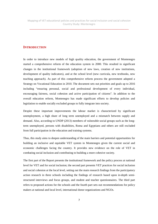#### **INTRODUCTION**

In order to introduce new models of high quality education, the government of Montenegro started a comprehensive reform of the education system in 2000. This resulted in significant changes in the institutional framework (adoption of new laws, creation of new institutions, development of quality indicators), and at the school level (new curricula, new textbooks, new teaching approach). As part of this comprehensive reform process the government adopted a Strategy on Vocational Education in 2010. The document sets out priorities and goals up to 2016 including "ensuring personal, social and professional development of every individual, encouraging fairness, social cohesion and active participation of citizens". In addition to the overall education reform, Montenegro has made significant efforts to develop policies and legislation to enable socially excluded groups to fully integrate into society.

Despite these important improvements the labour market is characterized by significant unemployment, a high share of long term unemployed and a mismatch between supply and demand. Also, according to UNDP (2013) members of vulnerable social groups such as the longterm unemployed, persons with disabilities, Roma and Egyptians and others are still excluded from full participation in the education and training systems.

Thus, this study aims to deepen understanding of the main barriers and potential opportunities for building an inclusive and equitable VET system in Montenegro given the current social and economic challenges facing the country. It provides new evidence on the role of VET in combating social inclusion and contributing to building a more cohesive society.

The first part of the Report presents the institutional framework and the policy process at national level for VET and for social inclusion; the second part presents VET practices for social inclusion and social cohesion at the local level, setting out the main research findings from the participatory action research in three schools including the findings of research based upon in-depth semistructured interviews and focus groups, and student and teacher questionnaires. The third part refers to proposed actions for the schools and the fourth part sets out recommendations for policy makers at national and local level, international donor organizations and NGOs.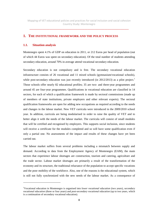\_\_\_\_\_\_\_\_\_\_\_\_\_\_\_\_\_\_\_\_\_\_\_\_\_\_\_\_\_\_\_\_\_\_\_\_\_\_\_\_\_\_\_\_\_\_\_\_\_\_\_\_\_\_\_\_\_\_\_\_\_\_\_\_\_\_\_\_\_\_

#### **1. THE INSTITUTIONAL FRAMEWORK AND THE POLICY PROCESS**

#### **1.1. Situation analysis**

 $\overline{a}$ 

Montenegro spent 4.1% of GDP on education in 2011, or 212 Euros per head of population (out of which 44 Euros was spent on secondary education). Of the total number of students attending secondary education, around 70% in average attend vocational secondary education.

Secondary education is not compulsory and is free. The secondary vocational education infrastructure consists of 26 vocational and 11 mixed schools (gymnasium/vocational schools), while post-secondary education was just recently introduced (in  $2012/2013$ ) as a pilot project.<sup>1</sup> Those schools offer nearly 82 educational profiles; 35 are two- and three-year programmes and around 45 are four-year programmes. Qualifications in vocational education are classified in 14 sectors, for each of which a qualification framework is made by sectoral commissions (made up of members of state institutions, private employers and other relevant experts). The sectoral qualification frameworks are open for adding new occupations as required according to the needs and changes in the labour market. New VET curricula were introduced in the 2009/2010 school year. In addition, curricula are being modularised in order to raise the quality of VET and to better align it with the needs of the labour market. The curricula will consist of small modules that will be certified and recognised by employers. This supports social inclusion, since students will receive a certificate for the modules completed and so will have some qualification even if only a partial one. No assessments of the impact and results of these changes have yet been carried out.

The labour market suffers from several problems including a mismatch between supply and demand. According to data from the Employment Agency of Montenegro (EAM), the main sectors that experience labour shortages are construction, tourism and catering, agriculture and the trade sector. Labour market shortages are primarily a result of the transformation of the economy and its structure, the traditional reluctance of the population to accept specific vocations and the poor mobility of the workforce. Also, one of the reasons is the educational system, which is still not fully synchronized with the new needs of the labour market. As a consequence of

<sup>1</sup>Vocational education in Montenegro is organised into *lower vocational education* (two years), s*econdary vocational education* (three or four years) and *post-secondary vocational education* (up to two years, which is a continuation of secondary vocational education).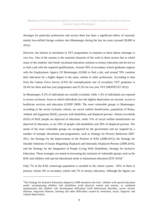\_\_\_\_\_\_\_\_\_\_\_\_\_\_\_\_\_\_\_\_\_\_\_\_\_\_\_\_\_\_\_\_\_\_\_\_\_\_\_\_\_\_\_\_\_\_\_\_\_\_\_\_\_\_\_\_\_\_\_\_\_\_\_\_\_\_\_\_\_\_

shortages for particular professions and sectors there has been a significant inflow of seasonal, mainly low-skilled foreign workers into Montenegro during the last ten years (around 20,000 in 2012).

However, the interest in enrolment in VET programmes in response to these labour shortages is very low. One of the reasons is the seasonal character of the work in these sectors due to which many of the students who finish vocational education continue to tertiary education and do not try to find a job with the required qualifications. Around 30% of secondary school graduates register with the Employment Agency Of Montenegro (EAM) to find a job, and around 70% continue their education for a higher degree in the same, similar or other professions. According to data from the Labour Force Survey (LFS) the unemployment rate of secondary VET graduates is 20.4% for three and four year programmes and 25.5% for two year VET (MONSTAT 2012).

In Montenegro, 9.2% of individuals are socially excluded, while 1.3% of individuals are exposed to severe exclusion. Areas in which individuals face the highest deprivation are income, access to healthcare services and education (UNDP 2009). The most vulnerable groups in Montenegro, according to the social exclusion criteria, are social welfare beneficiaries, population of Roma, Ashkali and Egyptians (RAE), persons with disabilities and displaced persons. Almost two-thirds (65%) of RAE people are deprived of education, while 31% of social welfare beneficiaries are deprived of education, as are 29% of people with disabilities and 28% of displaced persons. The needs of the most vulnerable groups are recognized by the government and are targeted by a number of strategic documents and programmes, such as Strategy for Poverty Reduction 2007- 2011, the Strategy for the Improvement of the Position of RAE (2008-2012), the Strategy for Durable Solutions of Issues Regarding Displaced and Internally Displaced Persons (2008-2016), and the Strategy for the Integration of People Living With Disabilities, Strategy for Inclusive Education. These strategies are aimed at increasing the inclusion of vulnerable groups such as the RAE and children with special educational needs in mainstream education (ETF 2010).<sup>2</sup>

Only 7% of the RAE school-age population is enrolled in the school system - 85% of them in primary school, 8% in secondary school and 7% in tertiary education. Although the figures are

 $\overline{a}$ 

<sup>&</sup>lt;sup>2</sup>The Strategy for Inclusive Education adopted in 2008 introduces the term 'children with special education needs' encompassing children with disabilities (with physical, mental and sensory, or combined impairments) and children with development difficulties (with behavioural disorders, severe chronic diseases, long-term illnesses, learning and other difficulties caused by emotional, social, linguistic and cultural deprivation).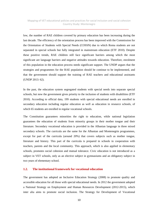\_\_\_\_\_\_\_\_\_\_\_\_\_\_\_\_\_\_\_\_\_\_\_\_\_\_\_\_\_\_\_\_\_\_\_\_\_\_\_\_\_\_\_\_\_\_\_\_\_\_\_\_\_\_\_\_\_\_\_\_\_\_\_\_\_\_\_\_\_\_

low, the number of RAE children covered by primary education has been increasing during the last decade. The efficiency of the orientation process has been improved with the Commission for the Orientation of Students with Special Needs (COSSN) due to which Roma students are not separated in special schools but fully integrated in mainstream education (ETF 2010). Despite these positive trends, RAE children still face significant barriers among which the most significant are language barriers and negative attitudes towards education. Therefore, enrolment of this population in the education process needs significant support. The UNDP argues that the strategies and programmes for the RAE population should be continue to be implemented, and that the government should support the training of RAE teachers and educational assistants (UNDP 2013: 62).

In the past, the education system segregated students with special needs into separate special schools, but now the government gives priority to the inclusion of students with disabilities (ETF 2010). According to official data, 199 students with special educational needs are enrolled in secondary education including regular education as well as education in resource schools, of which 65 students are enrolled in regular vocational schools.

The Constitution guarantees minorities the right to education, while national legislation guarantees the education of students from minority groups in their mother tongue and their literature. Secondary vocational education is provided in the Albanian language in three mixed secondary schools. The curricula are the same for the Albanian and Montenegrin programmes, except for part of the curricula (around 20%) that covers subjects such as mother tongue, literature and history. This part of the curricula is prepared in schools in cooperation with teachers, parents and the local community. This approach, which is also applied in elementary schools, promotes social cohesion and mutual tolerance. Civic education is not introduced as a subject in VET schools, only as an elective subject in gymnasiums and an obligatory subject in two years of elementary school.

#### **1.2. The institutional framework for vocational education**

The government has adopted an Inclusive Education Strategy (2008) to promote quality and accessible education for all those with special educational needs. In 2012 the government adopted a National Strategy on Employment and Human Resources Development (2012-2015), which inter alia aims to promote social inclusion. The Strategy for Development of Vocational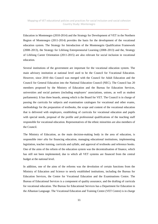\_\_\_\_\_\_\_\_\_\_\_\_\_\_\_\_\_\_\_\_\_\_\_\_\_\_\_\_\_\_\_\_\_\_\_\_\_\_\_\_\_\_\_\_\_\_\_\_\_\_\_\_\_\_\_\_\_\_\_\_\_\_\_\_\_\_\_\_\_\_

Education in Montenegro (2010-2014) and the Strategy for Development of VET in the Northern Region of Montenegro (2011-2014) provides the basis for the development of the vocational education system. The Strategy for Introduction of the Montenegrin Qualification Framework (2008–2013), the Strategy for Lifelong Entrepreneurial Learning (2008–2013) and the, Strategy of Lifelong Career Orientation (2011-2015) are also relevant for social inclusion in vocational education.

Several institutions of the government are important for the vocational education system. The main advisory institution at national level used to be the Council for Vocational Education. However, since 2010 this Council was merged with the Council for Adult Education and the Council for General Education into the National Education Council (NEC). The Council has 20 members proposed by the Ministry of Education and the Bureau for Education Services, universities and social partners (including employers' associations, unions, as well as student parliaments). It has three boards, among which is the Board for VET. The Council is in charge of passing the curricula for subjects and examination catalogues for vocational and other exams, methodology for the preparation of textbooks, the scope and content of the vocational education that is delivered with employers, establishing of curricula for vocational education and pupils with special needs, proposal of the profile and professional qualifications of the teaching staff responsible for vocational education. Representatives of the ethnic minorities are also members of the Council.

The Ministry of Education, as the main decision-making body in the area of education, is responsible *inter alia* for financing education, managing educational institutions, implementing legislation, teacher training, curricula and syllabi, and approval of textbooks and reference books. One of the aims of the reform of the education system was the decentralisation of finance, which has still not been implemented, due to which all VET systems are financed from the central budget at the national level.

In addition, one of the aims of the reforms was the devolution of certain functions from the Ministry of Education and Science to newly established institutions, including the Bureau for Education Services, the Centre for Vocational Education and the Examinations Centre. The Bureau of Educational Services is a component of quality assurance, and the drafting of curricula for vocational education. The Bureau for Educational Services has a Department for Education in the Albanian Language. The Vocational Education and Training Centre (VET Centre) is in charge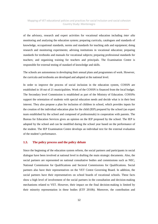\_\_\_\_\_\_\_\_\_\_\_\_\_\_\_\_\_\_\_\_\_\_\_\_\_\_\_\_\_\_\_\_\_\_\_\_\_\_\_\_\_\_\_\_\_\_\_\_\_\_\_\_\_\_\_\_\_\_\_\_\_\_\_\_\_\_\_\_\_\_

of the advisory, research and expert activities for vocational education including *inter alia* monitoring and analysing the education system; preparing curricula, catalogues and standards of knowledge, occupational standards, norms and standards for teaching aids and equipment; doing research and monitoring experiments; advising institutions in vocational education; preparing standards for textbooks and manuals for vocational subjects; preparing professional standards for teachers; and organising training for teachers and principals. The Examination Centre is responsible for external testing of standard of knowledge and skills.

The schools are autonomous in developing their annual plans and programmes of work. However, the curricula and textbooks are developed and adopted at the national level.

In order to improve the process of social inclusion in the education system, COSSN are established in 18 out of 21 municipalities. Work of the COSSN is financed from the local budget. The Secondary level Commission is established as part of the Ministry of Education. COSSNs support the orientation of students with special education needs and decide what is in their best interest. They also propose a plan for inclusion of children in school, which provides inputs for the creation of the individual education plan for the child (IEP) prepared by the school (an expert team established by the school and composed of professionals) in cooperation with parents. The Bureau for Education Services gives an opinion on the IEP proposed by the school. The IEP is adopted by the school and can be modified during the school year based on the performance of the student. The IEP Examination Centre develops an individual text for the external evaluation of the student's performance.

#### **1.3. The policy process and the policy debate**

Since the beginning of the education system reform, the social partners and participants in social dialogue have been involved at national level in drafting the main strategic documents. Also, the social partners are represented on national consultative bodies and commissions such as NEC, National Commission for Qualifications and Sectoral Commissions for Qualifications. Social partners also have their representatives on the VET Centre Governing Board. In addition, the social partners have their representatives on school boards of vocational schools. These facts show a high level of involvement of the social partners in the consultation and decision-making mechanisms related to VET. However, their impact on the final decision-making is limited by their minority representation in these bodies (ETF 2010b). Moreover, the contribution and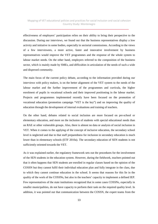\_\_\_\_\_\_\_\_\_\_\_\_\_\_\_\_\_\_\_\_\_\_\_\_\_\_\_\_\_\_\_\_\_\_\_\_\_\_\_\_\_\_\_\_\_\_\_\_\_\_\_\_\_\_\_\_\_\_\_\_\_\_\_\_\_\_\_\_\_\_

effectiveness of employers' participation relies on their ability to bring their perspective to the discussion. During our interviews, we found out that the business representatives display a low activity and initiative in some bodies, especially in sectorial commissions. According to the views of a few interviewees, a more active, faster and innovative involvement by business representatives would improve the VET programmes and the response of the whole system to labour market needs. On the other hand, employers referred to the composition of the business sector, which is mainly made by SMEs, and difficulties in articulation of the needs of such a wide and dispersed community.

The main focus of the current policy debate, according to the information provided during our interviews with policy makers, is on the better alignment of the VET system to the needs of the labour market and the further improvement of the programmes and curricula, the higher enrolment of pupils in vocational schools and their improved positioning in the labour market. Projects and programmes implemented recently have been focused on the promotion of vocational education (promotion campaign "VET is the key") and on improving the quality of education through the development of internal evaluations and training of teachers.

On the other hand, debates related to social inclusion are more focused on pre-school or elementary education, and more on the inclusion of students with special educational needs than on RAE or other vulnerable groups. Also, there is almost no data or analysis of social inclusion in VET. When it comes to the applying of the concept of inclusive education, the secondary school level is neglected and due to that staff preparedness for inclusion in secondary education is much lower than in elementary schools (ETF 2010a). The secondary education of SEN students is not sufficiently oriented towards the VET.

As it was explained earlier, the regulatory framework sets out the procedures for the involvement of the SEN students in the education system. However, during the fieldwork, teachers pointed out that it often happens that SEN students are enrolled in regular classes based on the opinion of the COSSN but they cannot fulfil their individual education plan and fully integrate in the class, due to which they cannot continue education in the school. It seems that reasons for this lie in the quality of the work of the COSSNs, but also in the teachers' capacity to implement a defined IEP. Few representatives of the state institutions recognized that in some cases COSSNs, especially in smaller municipalities, do not have capacity to perform their task on the required quality level. In addition, it was pointed out that communication between the COSSN, the expert teams from the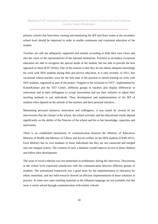\_\_\_\_\_\_\_\_\_\_\_\_\_\_\_\_\_\_\_\_\_\_\_\_\_\_\_\_\_\_\_\_\_\_\_\_\_\_\_\_\_\_\_\_\_\_\_\_\_\_\_\_\_\_\_\_\_\_\_\_\_\_\_\_\_\_\_\_\_\_

primary schools that have been creating and monitoring the IEP and those teams at the secondary school level should be improved in order to enable continuous and consistent education of the student.

Teachers are still not adequately supported and trained, according to both their own views and also the views of the representatives of the national institutions. Teachers in secondary vocational education are able to recognize the special needs of the student, but not able to provide the best approach to them (ETF 2010a). One of the reasons is that they do not obtain adequate knowledge for work with SEN students during their pre-service education. It is only recently, in 2011, that vocational school teachers were for the first time in the position to attend training on work with SEN students, organized as part of the project "Support to the inclusion in VET", implemented by KulturKontact and the VET Centre. Different groups of teachers also display differences in motivation and in their willingness to accept innovations and use their initiative to adjust their teaching methods to suit individuals. Thus, development and implementation of the IEP of students often depend on the attitude of the teachers and their personal initiative.

Mentioning personal initiative, motivation and willingness, it was stated by several of our interviewees that the climate in the school, the school activities and the educational results depend significantly on the ability of the Director of the school and his or her knowledge, capacities and motivation.

There is no established mechanism of communication between the Ministry of Education, Ministry of Health and Ministry of Labour and Social welfare on the SEN students (CEMI 2011). Each Ministry has its own database of those individuals but they are not connected and merged into one integral system. The creation of such a database would improve access to those children and follow their development.

The issue of social cohesion was not mentioned as problematic during the interviews. Discussions at the school level expressed satisfaction with the communication between different groups of students. The institutional framework sets a good basis for the implementation of education for ethnic minorities, and our field research showed an efficient implementation of those solutions in practice. In some rare cases teaching materials in the Albanian language are not available, but this issue is easily solved through communication with similar schools.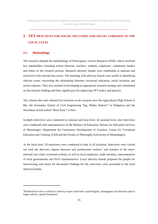\_\_\_\_\_\_\_\_\_\_\_\_\_\_\_\_\_\_\_\_\_\_\_\_\_\_\_\_\_\_\_\_\_\_\_\_\_\_\_\_\_\_\_\_\_\_\_\_\_\_\_\_\_\_\_\_\_\_\_\_\_\_\_\_\_\_\_\_\_\_

# **2. VET PRACTICES FOR SOCIAL INCLUSION AND SOCIAL COHESION AT THE LOCAL LEVEL**

#### **2.1. Methodology**

l

The research adopted the methodology of Participatory Action Research (PAR), which involved key stakeholders including school directors, teachers, students, employers, community leaders and others in the research process. Research advisory boards were established at national and local level with relevant key actors. The meetings with advisory boards were useful in identifying relevant issues concerning the relationship between vocational education, social inclusion and social cohesion. They also assisted in developing an appropriate research strategy and commented on the research findings and their significance for improving VET policy and practice.

The schools that were selected fro inclusion in the research were the Agricultural High School in Bar, the Secondary School of Civil Engineering "Ing. Marko Radevic" in Podgorica and the Secondary mixed school "Beco Pasic" in Plav.

In-depth interviews were conducted at national and local level. At national level, nine interviews were conducted with representatives of the Ministry of Education, Bureau for Education Services of Montenegro, Department for Continuous Development of Teachers, Centre for Vocational Education and Training, EAM and the Faculty of Philosophy (University of Montenegro).

At the local level, 30 interviews were conducted in total in all locations. Interviews were carried out with the directors, deputy directors and professional workers<sup>3</sup> and teachers in the threeselected case study vocaitonal schools, as well as local employers, trade unionists, representatives of local governments and NGO representatives. Local advisory boards proposed the people for interviewing and issues for discussion Findings for the interviews were presented to the local advisory boards.

<sup>&</sup>lt;sup>3</sup>Professional work in schools is done by expert associates: psychologists, pedagogues and librarian (and in larger schools, speech therapists)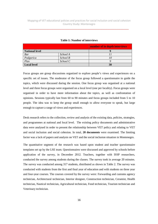\_\_\_\_\_\_\_\_\_\_\_\_\_\_\_\_\_\_\_\_\_\_\_\_\_\_\_\_\_\_\_\_\_\_\_\_\_\_\_\_\_\_\_\_\_\_\_\_\_\_\_\_\_\_\_\_\_\_\_\_\_\_\_\_\_\_\_\_\_\_

|                       |          | number of in depth interviews |
|-----------------------|----------|-------------------------------|
| <b>National level</b> |          |                               |
| <b>Bar</b>            | School A |                               |
| Podgorica             | School B |                               |
| Play                  | School C |                               |
| <b>Local level</b>    |          | 30                            |

#### **Table 1: Number of interviews**

Focus groups are group discussions organized to explore people's views and experiences on a specific set of issues. The moderator of the focus group followed a questionnaire to guide the topics, which were discussed during the session. One focus group was organised at a national level and three focus groups were organised on a local level (one per locality). Focus groups were organised in order to have more information about the topics, as well as confrontation of opinions. Sessions typically last from 60 to 90 minutes and focus groups included from 5 to 10 people. The idea was to keep the group small enough to allow everyone to speak, but large enough to capture a range of views and experiences.

Desk research refers to the collection, review and analysis of the existing data, policies, strategies, and programmes at national and local level. The existing policy documents and administrative data were analysed in order to present the relationship between VET policy and relating to VET and social inclusion and social cohesion. In total, **20 documents** were examined. The limiting factor was a lack of papers and analysis on VET and the social inclusion situation in Montenegro.

The quantitative segment of the research was based upon student and teacher questionnaire templates set up by the LSE team. Questionnaires were discussed and approved by schools before application of the survey, in December 2012. Teachers, together with ISSP researchers, conducted the survey among students during the classes. The survey took in average 20 minutes. The survey was conducted among 317 students, distributed as shown in Table 2. The survey was conducted with students from the first and final year of education and with students on three year and four-year courses. The courses covered by the survey were: Forwarding and customs agency technician, Architectural technician, Interior designer, Construction technician, Ceramist, Health technician, Nautical technician, Agricultural technician, Food technician, Tourism technician and Veterinary technician.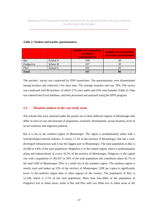\_\_\_\_\_\_\_\_\_\_\_\_\_\_\_\_\_\_\_\_\_\_\_\_\_\_\_\_\_\_\_\_\_\_\_\_\_\_\_\_\_\_\_\_\_\_\_\_\_\_\_\_\_\_\_\_\_\_\_\_\_\_\_\_\_\_\_\_\_\_

|              |          | <b>Number of respondents</b><br>to student<br>questionnaires | Number of respondents<br>to teacher questionnaire |
|--------------|----------|--------------------------------------------------------------|---------------------------------------------------|
| Bar          | School A | 109                                                          | 30                                                |
| Podgorica    | School B | 107                                                          | 30                                                |
| Play         | School C | 101                                                          | 26                                                |
| <b>Total</b> |          | 317                                                          | 86                                                |

#### **Table 2: Student and teacher questionnaires**

The teachers' survey was conducted by ISSP researchers. The questionnaires were disseminated among teachers and collected a few days later. The average response rate was 70%. The survey was conducted with 86 teachers, of which 57% were males and 43% were females (Table 2). Data was entered into Excel database, and then processed and analysed using the SPSS program.

#### **2.2. Situation analysis in the case study areas**

The schools that were analysed under the project are in three different regions in Montenegro that differ in term of size and structure of population, economic development, social situation, level of social inclusion and migration patterns.

Bar is a city in the southern region of Montenegro. The region is predominantly urban with a well-developed tourism industry. It covers 11.5% of the territory of Montenegro. Bar has a welldeveloped infrastructure and it has the biggest port in Montenegro. The total population in Bar is 42,048 or 6.8% of the total population. Podgorica is in the central region, which is predominantly urban and industrialised. It covers 35.5% of the territory of Montenegro. Podgorica is the capital city with a population of 185,937 or 30% of the total population and contributes about 42.7% of the total GDP of Montenegro. Plav is a small city in the northern region. The northern region is mostly rural and makes up 53% of the territory of Montenegro. GDP per capita is significantly lower in the northern region than in other regions of the country. The population of Plav is 13,108, which is 2.1% of the total population. More than four-fifths of the population of Podgorica live in urban areas, while in Bar and Plav only two fifths live in urban areas of the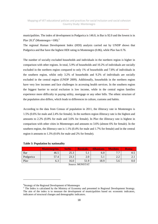municipalities. The index of development in Podgorica is 146.0, in Bar is 92.0 and the lowest is in Plav 20.3<sup>4</sup> (Montenegro = 100).<sup>5</sup>

The regional Human Development Index (HDI) analysis carried out by UNDP shows that Podgorica and Bar have the highest HDI rating in Montenegro (0.86), while Plav has 0.76.

The number of socially excluded households and individuals in the northern region is higher in comparison with other regions. In total, 5.9% of households and 10.2% of individuals are socially excluded in the northern region compared to only 1% of households and 7.8% of individuals in the southern region, whilst only 3.2% of households and 9.2% of individuals are socially excluded in the central region (UNDP 2009). Additionally, households in the northern region have very low incomes and face challenges in accessing health services. In the southern region the biggest barrier to social exclusion is low income, while in the central region families experience more difficulty in paying utility, mortgage or any other bills. The ethnic structure of the population also differs, which leads to differences in culture, customs and habits.

According to the data from Census of population in 2011, the illiteracy rate in Montenegro is 1.5% (0.6% for male and 2.4% for female). In the northern region illiteracy rate is the highest and amounts to 2.2% (0.8% for male and 3.6% for female). In Plav the illiteracy rate is highest in comparison with other cities in Montenegro and amounts to 3.6% (almost 6% for female). In the southern region, the illiteracy rate is 1.1% (0.4% for male and 1.7% for female) and in the central region it amounts to 1.3% (0.6% for male and 2% for female).

|                      | <b>Montenegrins</b> | <b>Serbs</b> | <b>Bosniaks</b> | <b>Albanians</b> | <b>Muslims</b> | <b>Roma</b>  |  |  |  |
|----------------------|---------------------|--------------|-----------------|------------------|----------------|--------------|--|--|--|
| Bar                  | 46.5                | 25.3         | J.I             | 6.0              | 77             | U.J          |  |  |  |
| Podgorica            | 57.4                | 23.3         | 2.0             | 5.1              | $\Omega$       | <u>، ، ا</u> |  |  |  |
| Play                 | 6.3                 | 16.0         | 51.9            | 18.9             | 5.6            | v.v          |  |  |  |
| 1.6210011m<br>$\sim$ |                     |              |                 |                  |                |              |  |  |  |

#### **Table 3: Population by nationality**

 $\overline{a}$ 

Source: MONSTAT

<sup>&</sup>lt;sup>4</sup>Strategy of the Regional Development of Montenegro<br><sup>5</sup> The Index is calculated by the Ministry of Economy and presented in Regional Development Strategy. The aim of the index is to measure the development of municipalities based on: economic indicators, indicators of structural changes and demographic indicators.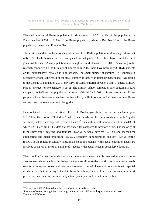The total number of Roma population in Montenegro is 6,251 or 1% of the population. In Podgorica live 3,988 or 63.8% of the Roma population, while in Bar live 3.2% of the Roma population; there are no Roma in Plav.

The most recent data on the secondary education of the RAE population in Montenegro show that only 19% of 24-65 years old have completed second grade, 7% of them have completed third grade, while only 0.2% of population have a high school diploma (UNDP 2011). According to the research conducted by the Ministry of Education in 2009, there have been only 36 RAE students on the national level enrolled in high schools. The small number of enrolled RAE students in secondary school is the result of the small number of those who finish primary school. According to the Census of population 2011, only 51% of Roma children between 6 and 17 attend primary school (average for Montenegro is 95%). The primary school completion rate of Roma is 32% compared to 98% for the population in general (World Bank 2011). Since there are no Roma people in Plav, there are no students in that school, while in school in Bar there are three Roma students, and the same number in Podgorica.

Data obtained from the Statistical Office of Montenegro show that in the academic year  $2011/2012$ , there were 199 students<sup>6</sup> with special needs enrolled in secondary schools (regular secondary schools and Special Resource Centres<sup>7</sup> for children with special education needs), of which 42.7% are girls. This data did not vary a lot compared to previous years. The majority of them study trade, catering and tourism (42.7%), personal services (27.1%) and mechanical engineering and metal processing (15.6%), economy, administration and law (5.5%), textile  $(5.5\%)$ . In the regular secondary vocational school 65 students<sup>8</sup> with special education needs are involved or 32.7% of the total number of students with special needs in secondary education.

The school in Bar has one student with special education needs who is involved in a regular fouryear course, while in school in Podgorica there are three students with special education needs (one on a four-year course and two on a three-year course). There are no students with special needs in Plav, but according to the data from the school, there will be some students in the next period, because nine students currently attend primary school in that municipality.

 $\overline{a}$ 

<sup>&</sup>lt;sup>6</sup>This makes 0.6% of the total number of students in secondary schools

 $7$ Resource Centers can organize some programmes for the children with special education needs 8 Source: VET Centre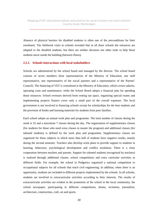Absence of physical barriers for disabled students is often one of the preconditions for their enrolment. The fieldwork visits to schools revealed that in all three schools the entrances are adapted to the disabled students, but there are neither elevators nor other tools to help those students move inside the building (between floors).

#### **2.2.1. Schools interactions with local stakeholders**

Schools are administered by the school board and managed by the director. The school board consists of seven members (four representatives of the Ministry of Education, one staff representative, one representative of the social partners and a representative of the Parents' Council). The financing of VET is centralized at the Ministry of Education, which covers salaries, operating costs and maintenance, while the School Board adopts a financial plan for spending those resources. School revenues derived from renting out space, organising special exams and implementing projects finance cover only a small part of the overall expenses. The local government is not involved in financing schools except for scholarships for the best students and the provision of books and learning materials for students from poor families.

Each school adopts an annual work plan and programme. The total number of classes during the week is 32 and a maximum 7 classes during the day. The organisation of supplementary classes (for students for those who need extra classes to master the program) and additional classes (for talented students) is defined by the work plan and programme. Supplementary classes are organized for those subjects in which more than half of students have negative results, mainly during the second semester. Teachers also develop work plans to provide support to students in learning, behaviour, psychological development and conflict resolution. There is a close cooperation between teachers and parents. Support for talented students (recognized by teachers) is realized through additional classes, school competitions and extra curricular activities in different fields. For example, the school in Podgorica organized a national competition in occupational subjects for all schools that teach civil engineering. In addition, when there is an opportunity, students are included in different projects implemented by the schools. In all schools, students are involved in extracurricular activities according to their interests. The results of extracurricular activities are evident in the promotion of the school in the local community, the school newspaper, participating in different competitions, drama, recitation, journalism, architecture, construction, craft, art and sports.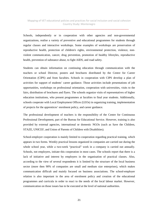Schools, independently or in cooperation with other agencies and non-governmental organizations, realise a variety of preventive and educational programmes for students through regular classes and interactive workshops. Some examples of workshops are preservation of reproductive health, protection of children's rights, environmental protection, violence, nonviolent communication, cancer, drug prevention, promotion of healthy lifestyles, reproductive health, prevention of substance abuse, to fight AIDS, and road safety.

Students can obtain information on continuing education through communication with the teachers or school Director, posters and brochures distributed by the Centre for Career Orientation (CIPS) and from faculties. Schools in cooperation with CIPS develop a plan of activities for support of students' career guidance. Those activities include presentations of job opportunities, workshops on professional orientation, cooperation with universities, visits to the fairs, distribution of brochures and flyers. The schools organize visits of representatives of higher education institutions, who present programmes at faculties to final year students. Additionally, schools cooperate with Local Employment Offices (LEOs) in organizing training, implementation of projects for the apprentices' enrolment policy, and career guidance.

The professional development of teachers is the responsibility of the Centre for Continuous Professional Development, part of the Bureau for Educational Service. However, training is also provided by external agencies, international or domestic NGOs (such as Save the Children, STAZE, UNICEF, and Union of Parents of Children with Disabilities).

School-employer cooperation is mainly limited to cooperation regarding practical training, which appears in two forms. Weekly practical lessons organized in companies are carried out during the whole school year, while a two-week "practical" work in a company is carried out annually. Schools, not employers, initiate this cooperation in most cases. The schools report that there is a lack of initiative and interest by employers in the organisation of practical classes. Also, according to the view of several respondents it is limited by the structure of the local business sector (more then 90% of companies are small and medium size enterprises), which makes communication difficult and mainly focused on business associations. The school-employer relation is also important in the area of enrolment policy and creation of the educational programmes and curricula in order to react to the needs of the local labour market. However, communication on those issues has to be executed at the level of national authorities.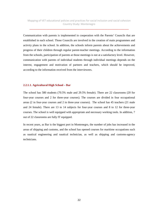\_\_\_\_\_\_\_\_\_\_\_\_\_\_\_\_\_\_\_\_\_\_\_\_\_\_\_\_\_\_\_\_\_\_\_\_\_\_\_\_\_\_\_\_\_\_\_\_\_\_\_\_\_\_\_\_\_\_\_\_\_\_\_\_\_\_\_\_\_\_

Communication with parents is implemented in cooperation with the Parents' Councils that are established in each school. Those Councils are involved in the creation of main programmes and activity plans in the school. In addition, the schools inform parents about the achievements and progress of their children through regular parent-teacher meetings. According to the information from the schools, participation of parents at those meetings is not at a satisfactory level. However, communication with parents of individual students through individual meetings depends on the interest, engagement and motivation of partners and teachers, which should be improved, according to the information received from the interviewees.

#### **2.2.1.1. Agricultural High School – Bar**

The school has 580 students (70.5% male and 29.5% female). There are 22 classrooms (20 for four-year courses and 2 for three-year courses). The courses are divided in four occupational areas (2 in four-year courses and 2 in three-year courses). The school has 45 teachers (21 male and 24 female). There are 13 to 14 subjects for four-year courses and 8 to 12 for three-year courses. The school is well equipped with appropriate and necessary working tools. In addition, 7 out of 22 classrooms are fully IT equipped.

In recent years, as Bar is the biggest port in Montenegro, the number of jobs has increased in the areas of shipping and customs, and the school has opened courses for maritime occupations such as nautical engineering and nautical technician, as well as shipping and customs-agency technicians.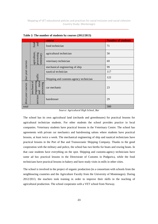\_\_\_\_\_\_\_\_\_\_\_\_\_\_\_\_\_\_\_\_\_\_\_\_\_\_\_\_\_\_\_\_\_\_\_\_\_\_\_\_\_\_\_\_\_\_\_\_\_\_\_\_\_\_\_\_\_\_\_\_\_\_\_\_\_\_\_\_\_\_

|                                                                               |                                          | course                                 | <b>Number of students</b> |
|-------------------------------------------------------------------------------|------------------------------------------|----------------------------------------|---------------------------|
|                                                                               | and<br>food                              | food technician                        | 71                        |
|                                                                               |                                          | agricultural technician                | 50                        |
|                                                                               | agriculture,<br>processing<br>veterinary | veterinary technician                  | 69                        |
|                                                                               |                                          | mechanical engineering of ship         | 99                        |
|                                                                               |                                          | nautical technician                    | 117                       |
| four-year courses                                                             | traffic                                  | Shipping and customs-agency technician | 122                       |
| engineering<br>metal<br>mechanical<br>processing<br>three-year courses<br>and |                                          | car mechanic                           | 23                        |
|                                                                               | services                                 | hairdresser                            | 29                        |
| total                                                                         |                                          |                                        | 580                       |

**Table 2: The number of students by courses (2012/2013)** 

*Source: Agricultural High School, Bar* 

The school has its own agricultural land (orchards and greenhouses) for practical lessons for agricultural technician students. For other students the school provides practice in local companies. Veterinary students have practical lessons in the Veterinary Centre. The school has agreements with private car mechanics and hairdressing salons where students have practical lessons, at least twice a week. The mechanical engineering of ship and nautical technicians have practical lessons in the Port of Bar and Transoceanic Shipping Company. Thanks to the good cooperation with the military and police, the school has two berths for boats and rowing boats. In that case students have everything on the spot. Shipping and customs-agency technicians have some ad hoc practical lessons in the Directorate of Customs in Podgorica, while the food technicians have practical lessons in bakery and have study visits in mills in other cities.

The school is involved in the project of organic production (in a consortium with schools from the neighbouring countries and the Agriculture Faculty from the University of Montenegro). During 2012/2013, the teachers took training in order to improve their skills in the teaching of agricultural production. The school cooperates with a VET school from Norway.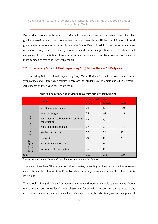During the interview with the school principal it was mentioned that in general the school has good cooperation with local government but that there is insufficient participation of local government in the school activities through the School Board. In addition, according to the view of school management the local government should assist cooperation between schools and companies through initiation of communication with companies and by providing subsidies for those companies that cooperate with schools.

#### **2.2.1.2. Secondary School of Civil Engineering "Ing. Marko Radevic" – Podgorica**

The Secondary School of Civil Engineering "Ing. Marko Radevic" has 24 classrooms and 5 fouryear courses and 3 three-year courses. There are 599 students (58.4% male and 41.6% female). All students on three-year courses are male.

|                       |                                                      | number of students |          |       |  |
|-----------------------|------------------------------------------------------|--------------------|----------|-------|--|
|                       | course                                               | male               | female   | total |  |
|                       | architectural technician                             | 70                 | 59       | 129   |  |
|                       | Interior designer                                    | 24                 | 91       | 115   |  |
| four-year courses     | construction technician for building<br>construction | 62                 | 39       | 101   |  |
|                       | construction technician                              | 67                 | 37       | 104   |  |
|                       | geodesy technician                                   | 72                 | 23       | 95    |  |
|                       | ceramist                                             | 29                 | $\Omega$ | 29    |  |
| three-year<br>courses | installer in construction                            | 11                 | $\Omega$ | 11    |  |
|                       | assembler of construction                            | 15                 | $\Omega$ | 15    |  |
| total                 |                                                      | 350                | 249      | 599   |  |

**Table 3: The number of students by courses and gender (2012/2013)** 

*Source: The Secondary School of Civil Engineering "Ing. Marko Radevic"*

There are 56 teachers. The number of subjects varies, depending on the course. For the four-year course the number of subjects is 11 to 14, while in three-year courses the number of subjects is lower, 6 to 10.

The school in Podgorica has 60 computers that are continuously available to the students (about one computer per 10 students), four classrooms for practical lessons for the required tools, classrooms for design (every student has their own drawing board). Every student has practical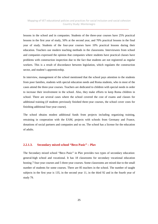\_\_\_\_\_\_\_\_\_\_\_\_\_\_\_\_\_\_\_\_\_\_\_\_\_\_\_\_\_\_\_\_\_\_\_\_\_\_\_\_\_\_\_\_\_\_\_\_\_\_\_\_\_\_\_\_\_\_\_\_\_\_\_\_\_\_\_\_\_\_

lessons in the school and in companies. Students of the three-year courses have 25% practical lessons in the first year of study, 50% at the second year, and 70% practical lessons in the final year of study. Students of the four-year courses have 10% practical lessons during their education. Teachers use modern teaching methods in the classrooms. Interviewees from school and companies expressed the opinion that companies where students have practical classes have problems with construction inspection due to the fact that students are not registered as regular workers. This is a result of discordance between legislation, which regulates the construction sector, and student's apprenticeship.

In interview, management of the school mentioned that the school pays attention to the students from poor families, students with special education needs and Roma students, who in most of the cases attend the three-year courses. Teachers are dedicated to children with special needs in order to increase their involvement in the school. Also, they make efforts to keep Roma children in school. There are several cases where the school covered the cost of exams and classes for additional training (if students previously finished three-year courses, the school cover costs for finishing additional four-year course).

The school obtains modest additional funds from projects including organizing training, retraining in cooperation with the EAM, projects with schools from Germany and France, donations of social partners and companies and so on. The school has a license for the education of adults.

#### **2.2.1.3. Secondary mixed school "Beco Pasic" – Plav**

The Secondary mixed school "Beco Pasic" in Plav provides two types of secondary education: general-high school and vocational. It has 18 classrooms for secondary vocational education hosting 7 four-year courses and 5 three-year courses. Some classrooms are mixed due to the small number of students for some courses. There are 85 teachers in the school. The number of taught subjects in the first year is 135, in the second year 11, in the third 92 and in the fourth year of study 79.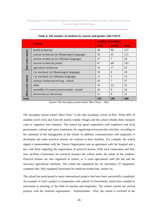|                  |                                              | number of students |          |       |  |
|------------------|----------------------------------------------|--------------------|----------|-------|--|
|                  | <b>Course</b>                                | male               | female   | total |  |
|                  | health technician                            | 28                 | 99       | 127   |  |
|                  | tourism technician (in Montenegrin language) | 50                 | 61       | 111   |  |
|                  | tourism technician (in Albanian language)    | 17                 | 7        | 24    |  |
| four-year course | tourism technician (total)                   | 67                 | 68       | 135   |  |
|                  | agriculture technician                       | 35                 | 17       | 52    |  |
|                  | Car mechanic (in Montenegrin language)       | 18                 | $\Omega$ | 18    |  |
|                  | Car mechanic (in Albanian language)          | 12                 | 1        | 13    |  |
| course           | culinary technician/serving - mixed          | 20                 | 7        | 27    |  |
| hree-year        | seller                                       | 10                 | 13       | 23    |  |
|                  | assembler of construction/ceramist - mixed   | 24                 | $\Omega$ | 24    |  |
|                  | electrician/car electrician                  | 21                 | $\Omega$ | 21    |  |
| total            |                                              | 235                | 205      | 440   |  |

**Table 4: The number of students by courses and gender (2012/2013)** 

Source: The Secondary mixed school "Beco Pasic" - Plav

The Secondary mixed school "Beco Pasic" is the only secondary school in Plav. About 40% of students travel every day from the nearby remote villages and the school refunds them transport costs or organizes free transport. The school has good cooperation with employers and local government, cultural and sport institutions for organizing extracurricular activities, according to the statement of the management of the school. In addition, communication with employers is developed and some practical lessons are realized in their facilities. For example, the school signed a memorandum with the Tourist Organisation and an agreement with the hospital and a few craft firms regarding the organisation of practical lessons. With such cooperation and their own facilities (classrooms for practical lessons) the school meets the needs of the students. Practical lessons are also organized in school, as it owns agricultural land (60 ha) and the necessary agricultural machines. The school has equipment for car mechanics, IT equipment, computer labs, fully equipped classrooms for medicine technicians, waiters etc.

The school has participated in many international projects that have been successfully completed. An example of such a project is cooperation with schools in Switzerland, which have resulted in innovation in teaching in the field of tourism and hospitality. The school carried out several projects with the Austrian organization – Kulturkontakt. Also, the school is involved in the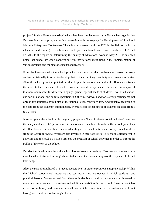project "Student Entrepreneurship" which has been implemented by a Norwegian organization Business innovation programmes in cooperation with the Agency for Development of Small and Medium Enterprises Montenegro. The school cooperates with the ETF in the field of inclusive education and training of teachers and took part in international research such as: PISA and ESPAD. In the report on determining the quality of educational work in May 2010 it has been noted that school has good cooperation with international institutions in the implementation of various projects and training of students and teachers.

From the interview with the school principal we found out that teachers are focused on every student individually in order to develop their critical thinking, creativity and research activities. Also, the school principal pointed out that despite the national and cultural differences between the students there is a nice atmosphere with successful interpersonal relationships in a spirit of tolerance and respect for differences by age, gender, special needs of students, level of education, and social, national and cultural specificities. Other interviewees and focus group participants, not only in this municipality but also at the national level, confirmed this. Additionally, according to the data from the students' questionnaire, average score of happiness of students on scale from 1 to 10 is 8.6.

In recent years, the school in Plav regularly prepares a "Plan of internal social inclusion" based on the analysis of students' performance in school as well as their life outside the school (what they do after classes, who are their friends, what they do in their free time and so on). Social workers from the Centre for Social Work are also involved in these activities. The school is transparent in activities and the local TV station presents the program of school activities in order to inform the public of the work of the school.

Besides the full-time teachers, the school has assistants in teaching. Teachers and students have established a Centre of Learning where students and teachers can improve their special skills and knowledge.

Also, the school established a "Student cooperative" in order to promote entrepreneurship. Within the "School cooperative" restaurant and car repair shop are opened in which students have practical lessons. Money earned from these activities is not paid to the students but invested in materials, improvement of premises and additional activities in the school. Every student has access to the library and computer labs all day, which is important for the students who do not have good conditions for learning at home.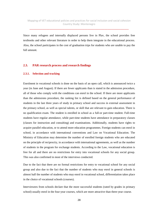Since many refugees and internally displaced persons live in Plav, the school provides free textbooks and other relevant literature in order to help them integrate in the educational process. Also, the school participates in the cost of graduation trips for students who are unable to pay the full amount.

## **2.3. PAR research process and research findings**

#### **2.3.1. Selection and tracking**

Enrolment in vocational schools is done on the basis of an open call, which is announced twice a year (in June and August). If there are fewer applicants than is stated in the admission procedure, all of those who comply with the conditions can enrol in the school. If there are more applicants than the admissions procedure, the ranking list is defined based on the general performance of students in the last three years of study in primary school and success in external assessment in the primary school, as well as special talents, or skill that are relevant to gain education. There is no qualification exam. The student is enrolled in school as a full-or part-time student. Full-time students have regular attendance, while part-time students have attendance in preparatory classes (classes for instruction and consulting) and examinations. Additionally, students have rights to acquire parallel education, or to attend more education programmes. Foreign students can enrol in school, in accordance with international conventions and Law on Vocational Education. The Ministry of Education may determine the number of enrolled foreign students who are educated on the principle of reciprocity, in accordance with international agreements, as well as the number of students in the program for exchange students. According to the Law, vocational education is free for all and there are no restrictions for entry into vocational schools for any social group. This was also confirmed in most of the interviews conducted.

Due to the fact that there are no formal restrictions for entry to vocational school for any social group and also due to the fact that the number of students who may enrol in general schools is almost half the number of students who may enrol in vocational school, differentiation takes place in the choice of vocational schools (courses).

Interviewees from schools declare that the more successful students (rated by grades in primary school) usually enrol in the four-year courses, which are more attractive than three-year course.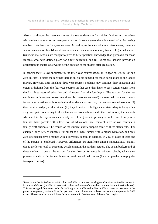Also, according to the interviews, most of those students are from richer families in comparison with students who enrol in three-year courses. In recent years there is a trend of an increasing number of students in four-year courses. According to the view of some interviewees, there are several reasons for this: (i) vocational schools are seen as an easer way towards higher education, (ii) vocational schools are thought to provide better practical knowledge than gymnasia for those students who have defined plans for future education, and (iii) vocational schools provide an occupation no matter what would be the decision of the student after graduation.

In general there is low enrolment in the three-year courses (9.2% in Podgorica, 9% in Bar and 28% in Plav), despite the fact that there is an excess demand for those occupations in the labour market. However, after finishing three-year courses, students may continue their education and obtain a diploma from the four-year courses. In that case, they have to pass certain exams from the first three years of education and all exams from the fourth-year. The reasons for the low enrolment in three-year courses mentioned by interviewees are (i) the seasonal character of work for some occupations such as agricultural workers, construction, tourism and related services, (ii) they require hard physical work and (iii) they do not provide high social status despite being often very well paid. According to the interviewees from schools and other institutions, the students who enrol in three-year courses mostly have low grades in primary school, come from poorer families, have parents with a low level of educational, are Roma children or will continue a family craft business. The results of the student survey support some of these statements. For example, only 32% of students (for all schools) have fathers with a higher education, and only 25% of students have a mother with a university degree. In addition, in 74% of cases at least one of the parents is employed. However, differences are significant among municipalities<sup>9</sup> mainly due to the lower level of economic development in the northern region. The social background of those students is one of the reasons for their low performance in primary schools, which then presents a main barrier for enrolment in certain vocational courses (for example the more popular four-year courses).

 $\overline{\phantom{0}}$ 

<sup>&</sup>lt;sup>9</sup>Data shows that in Podgorica 44% fathers and 36% of mothers have higher education, while this percent in Plav is much lower (in 25% of cases their fathers and in 8% of cases their mothers have university degree). This percentage differs across schools. In Podgorica in 90% and in Bar in 80% of cases at least one of the parent is employed, while in Plav this percent is much lower and at least one parent is employed in 53% cases. The reasons lie in much lower level of economic development of the northern region.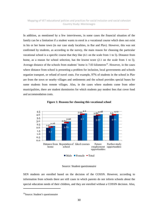\_\_\_\_\_\_\_\_\_\_\_\_\_\_\_\_\_\_\_\_\_\_\_\_\_\_\_\_\_\_\_\_\_\_\_\_\_\_\_\_\_\_\_\_\_\_\_\_\_\_\_\_\_\_\_\_\_\_\_\_\_\_\_\_\_\_\_\_\_\_

In addition, as mentioned by a few interviewees, in some cases the financial situation of the family can be a limitation if a student wants to enrol in a vocational course which does not exist in his or her home town (in our case study localities, in Bar and Plav). However, this was not confirmed by students, as according to the survey, the main reason for choosing the particular vocational school is a specific course that they like (4.1 on the scale from 1 to 5). Distance from home, as a reason for school selection, has the lowest score  $(2.1 \text{ on the scale from 1 to 5}).$ Average distance of the schools from students' home is  $7.03$  kilometres<sup>10</sup>. However, in the cases where distance from school is presenting a problem for inclusion, local governments and schools organize transport, or refund of travel costs. For example, 97% of students in the school in Plav are from the town or nearby villages and settlements and the school provides special buses for some students from remote villages. Also, in the cases where students come from other municipalities, there are student dormitories for which students pay modest fees that cover food and accommodation costs.



**Figure 1: Reasons for choosing this vocational school** 

Source: Student questionnaire

SEN students are enrolled based on the decision of the COSSN. However, according to information from schools there are still cases in which parents do not inform schools about the special education needs of their children, and they are enrolled without a COSSN decision. Also,

l

<sup>&</sup>lt;sup>10</sup>Source: Student's questionnaire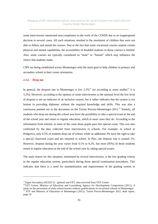\_\_\_\_\_\_\_\_\_\_\_\_\_\_\_\_\_\_\_\_\_\_\_\_\_\_\_\_\_\_\_\_\_\_\_\_\_\_\_\_\_\_\_\_\_\_\_\_\_\_\_\_\_\_\_\_\_\_\_\_\_\_\_\_\_\_\_\_\_\_

some interviewees mentioned non-compliance in the work of the COSSN due to an inappropriate decision in several cases. All such situations resulted in the enrolment of children that were not able to follow and attend the courses. Due to the fact that some vocational courses require certain physical and mental capabilities, the accessibility of disabled students in those courses is limited. Also, some courses are typically considered as "male" or "female" which may influence the choice that students make.

CIPS are being established across Montenegro with the main goal to help children in primary and secondary school in their career orientation.

#### **2.3.2. Drop out**

 $\overline{a}$ 

In general, the dropout rate in Montenegro is low  $2.3\%$ <sup>11</sup> (or according to some studies<sup>12</sup> it is 3.2%). However, according to the opinion of some interviewees at the national level the low level of dropout is not an indicator of an inclusive system, but it rather indicates that the system is too lenient in providing diplomas without the required knowledge and skills. This was also a conclusion pointed out in the document on the Torino Process-Montenegro 2012.<sup>13</sup> Namely, all students who drop out during the school year have the possibility to take a special exam at the end of the school year and return to regular education, which in most cases they do. According to the information from schools, in most of the cases those pupils pass this special exam. This was also confirmed by the data collected from interviewees in schools. For example, in school in Podgorica, only 0.5% of students drop out of school, while an additional 3% have the right to take a special classroom exam and are returned to school. In Plav, the dropout rate is around 1%. However, dropout during the year varies from 4.1% to 8.2%, but most (95%) of those students return to regular education at the end of the school year by taking special exams.

The main reason for this situation, mentioned by several interviewees, is the low grading criteria in the regular education system, particularly during those special examination procedures. This indicates that there is a need for standardisation and improvement of the grading system in

 $11$ Upper Secondary (ISCED 3) – general and VET, data received from VET Center

<sup>&</sup>lt;sup>12</sup>VET Centre, Ministry of Education and Luxemburg Agency for Development Cooperation (2011), A study on the prevention of early school-leavers without qualifications in vocational schools in Montenegro  $13$  ETF and Ministry of Education of Montenegro (2012), Torino Proces-Montenegro 2012, draft report, page 18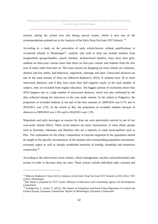\_\_\_\_\_\_\_\_\_\_\_\_\_\_\_\_\_\_\_\_\_\_\_\_\_\_\_\_\_\_\_\_\_\_\_\_\_\_\_\_\_\_\_\_\_\_\_\_\_\_\_\_\_\_\_\_\_\_\_\_\_\_\_\_\_\_\_\_\_\_

schools, during the school year and during special exams, which is also one of the recommendations pointed out in the Analysis of the Early Drop Out from VET Schools. <sup>14</sup>

According to a study on the prevention of early school-leavers without qualifications in vocational schools in Montenegro<sup>15</sup>, students who tend to drop out include students from marginalised groups/families, poorer families, dysfunctional families, boys more than girls, students on three-year courses more than those on four-year courses and students from the first year of study rather than later on. The main reasons for dropping out from schools are voluntary, absence and low marks, bad behaviour, migrations, marriage and sport. Unexcused absences are one of the main reasons of drop out (Mitrovic-Radosevic 2013). If students have 30 or more unexcused absences, and if they have more than half negative marks of the total number of subjects, they are excluded from regular education. The biggest portion of exclusions (more than 50%) happens due to a high number of unexcused absences, which was also confirmed by the data collected during the interviews in the case study schools. In the school in Podgorica, the proportion of excluded students at the end of the first semester in 2009/2010 was 0.7% and in 2010/2011 was 2.5%. In the school in Bar, the proportion of excluded students because of absences in 2009/2010 was 2.5% and in 2010/2011 was 1.5%.

Migrations and early marriages as reasons for drop out were particularly noticed in one of our case-study schools (Plav). These social patterns are more characteristic of some ethnic groups such as Bosniaks, Albanians and Muslims who are a majority in some municipalities such as Plav. The explanation for the ethnic composition of external migration of the population should be sought in the specific circumstances of the nineties and corresponding population movements, economic aspect as well as already established networks of kinship, friendship and hometown connections.<sup>16</sup>

According to the interviewees from schools, school management, teachers and professionals take actions in order to decrease drop out rates. Those actions include individual talks, sessions and

 $\overline{a}$ 

,

<sup>&</sup>lt;sup>14</sup> Mitrovic-Radosevic Vjera (2013), Analysis of the Early Drop Out from VET Schools in 2011/2012, VET Centre, Montenegro

<sup>&</sup>lt;sup>15</sup>The Study is prepared by VET Center, Ministry of Education and Luxemburg Agency for Development Cooperation

<sup>&</sup>lt;sup>16</sup> Kaludierovic J., Grečić V. (2012), The Impact of Emigration and Rural Urban Migrations in Central and Eastern Europe, European Commission- Report on Montenegro, European Commission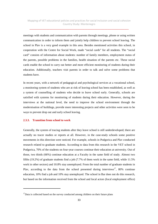meetings with students and communication with parents through meetings, phone or using written communication in order to inform them and jointly help children to prevent school leaving. The school in Plav is a very good example in this area. Besides mentioned activities this school, in cooperation with the Centre for Social Work, made "social cards" for all students. The "social card" consists of information about students: number of family members, employment status of the parents, possible problems in the families, health situation of the parents etc. These social cards enable the school to carry out better and more efficient monitoring of students during their education. Additionally, teachers visit parents in order to talk and solve some problems that students have.

In recent years, with a network of pedagogical and psychological services at a vocational school, a monitoring system of students who are at risk of leaving school has been established, as well as a system of counselling of students who decide to leave school early. Generally, schools are satisfied with systems for monitoring of students during their education. However, during the interviews at the national level, the need to improve the school environment through the modernisation of buildings, provide more interesting projects and other activities were seen to be ways to prevent drop out and early school leaving.

#### **2.3.3. Transition from school to work**

l

Generally, the system of tracing students after they leave school is still underdeveloped; there are actually no tracer studies or reports at all. However, in the case-study schools some positive movements in this direction were noticed. For example, schools in Podgorica and Plav conducted research related to graduate students. According to data from this research in the VET school in Podgorica, 70% of the students on four-year courses continue their education at university. Out of those, two thirds (66%) continue education at a Faculty in the same field of study. Almost two fifths (19.2%) of graduate students find a job (7.7% of them work in the same field, while 11.5% work in other sectors) and 10.8% stay unemployed. From the total number of graduate students in Plav, according to the data from the school presented during interviews<sup>17</sup>, 80% continue education, 10% find a job and 10% stay unemployed. The school in Bar does not do this research, but based on the information received from the school and local actors (local employment office)

 $17$ Data is collected based on the survey conducted among childern on their future plans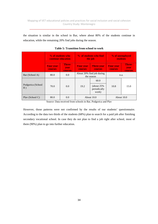the situation is similar in the school in Bar, where about 80% of the students continue in education, while the remaining 20% find jobs during the season.

|                         | % of students who<br>continue education |                                                                                          | % of students who find<br>the job                      |                                         | % of unemployed<br><b>students</b> |      |  |
|-------------------------|-----------------------------------------|------------------------------------------------------------------------------------------|--------------------------------------------------------|-----------------------------------------|------------------------------------|------|--|
|                         | <b>Four year</b><br><b>courses</b>      | Three-<br><b>Four year</b><br><b>Three-vear</b><br>year<br>courses<br>courses<br>courses |                                                        | <b>Four year</b><br>courses             | Three-<br>year<br>courses          |      |  |
| Bar (School A)          | 80.0                                    | 0.0                                                                                      |                                                        | About 20% find job during<br>the season |                                    | n.a. |  |
| Podgorica (School<br>B) | 70.0                                    | 0.0                                                                                      | 60.0<br>$(about 25\%$<br>19.2<br>periodically<br>work) |                                         | 10.8                               | 15.0 |  |
| Play (School C)         | 80.0                                    | 0.0                                                                                      | About 10.0                                             |                                         | About 10.0                         |      |  |

**Table 5: Transition from school to work** 

Source: Data received from schools in Bar, Podgorica and Plav

However, those patterns were not confirmed by the results of our students' questionnaire. According to the data two thirds of the students (68%) plan to search for a paid job after finishing secondary vocational school. In case they do not plan to find a job right after school, most of them (90%) plan to go into further education.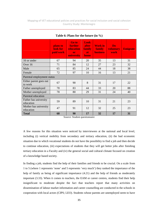\_\_\_\_\_\_\_\_\_\_\_\_\_\_\_\_\_\_\_\_\_\_\_\_\_\_\_\_\_\_\_\_\_\_\_\_\_\_\_\_\_\_\_\_\_\_\_\_\_\_\_\_\_\_\_\_\_\_\_\_\_\_\_\_\_\_\_\_\_\_

|                                    | plans to<br>look for<br>paid work | Go to<br><b>further</b><br><b>education</b><br>or<br>university | Look<br><b>after</b><br>family<br><b>at</b><br>home | <b>Work in</b><br><b>family</b><br><b>business</b> | Do<br>voluntary<br>work | <b>Emigrate</b> |
|------------------------------------|-----------------------------------|-----------------------------------------------------------------|-----------------------------------------------------|----------------------------------------------------|-------------------------|-----------------|
| 16 or under                        | 67                                | 94                                                              | 20                                                  | 35                                                 | 13                      | 31              |
| Over 16                            | 71                                | 84                                                              | 12                                                  | 27                                                 | 23                      | 32              |
| Male                               | 65                                | 85                                                              | 24                                                  | 44                                                 | 18                      | 38              |
| Female                             | 72                                | 97                                                              | 10                                                  | 16                                                 | 13                      | 21              |
| Parental employment status         |                                   |                                                                 |                                                     |                                                    |                         |                 |
| Either parent goes out<br>to work  | 67                                | 90                                                              | 8                                                   | 31                                                 | 17                      | 22              |
| Father unemployed                  | 78                                | 83                                                              | 44                                                  | 33                                                 | 20                      | 88              |
| Mother unemployed                  | 78                                | 80                                                              | 29                                                  | 31                                                 | 24                      | 40              |
| Parental education                 |                                   |                                                                 |                                                     |                                                    |                         |                 |
| Father has university<br>education | 59                                | 89                                                              | 10                                                  | 31                                                 | 21                      | 23              |
| Mother has university<br>education | 47                                | 91                                                              | 12                                                  | 32                                                 | 25                      | 23              |
| <b>Total</b>                       | 68                                | 90                                                              | 17                                                  | 32                                                 | 17                      | 31              |

#### **Table 6: Plans for the future (in %)**

Source: Student questionnaire

A few reasons for this situation were noticed by interviewees at the national and local level, including (i) vertical mobility from secondary and tertiary education, (ii) the bad economic situation due to which vocational students do not have the possibility to find a job and then decide to continue education, (iii) expectations of students that they will get better jobs after finishing tertiary education in a Faculty and (iv) the general social and cultural climate focused on creation of a knowledge based society.

In finding a job, students find the help of their families and friends to be crucial. On a scale from 1 to 5 (where 1 represents 'none' and 5 represents 'very much') they ranked the importance of the help of family as being of significant importance (4.21) and the help of friends as moderately important (3.33). When it comes to teachers, the EAM or career centres, students find their help insignificant to moderate despite the fact that teachers report that many activities on dissemination of labour market information and career counselling are conducted in the schools in cooperation with local actors (CIPS; LEO). Students whose parents are unemployed seem to have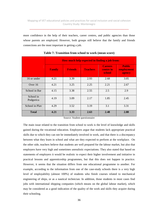more confidence in the help of their teachers, career centres, and public agencies than those whose parents are employed. However, both groups still believe that the family and friends connections are the most important in getting a job.

|                        | How much help expected in finding a job from: |                |                 |                                       |                                       |  |  |  |
|------------------------|-----------------------------------------------|----------------|-----------------|---------------------------------------|---------------------------------------|--|--|--|
|                        | <b>Family</b>                                 | <b>Friends</b> | <b>Teachers</b> | <b>Careers</b><br>centre in<br>school | <b>Public</b><br>employment<br>agency |  |  |  |
| 16 or under            | 4.21                                          | 3.39           | 2.93            | 2.68                                  | 3.05                                  |  |  |  |
| Over 16                | 4.21                                          | 3.25           | 2.25            | 2.21                                  | 2.67                                  |  |  |  |
| School in Bar          | 4.15                                          | 3.38           | 2.55            | 2.5                                   | 2.9                                   |  |  |  |
| School in<br>Podgorica | 4.19                                          | 3.09           | 2.17            | 1.85                                  | 2.45                                  |  |  |  |
| School in Play         | 4.29                                          | 3.52           | 3.19            | 3.1                                   | 3.31                                  |  |  |  |
| <b>Total</b>           | 4.21                                          | 3.33           | 2.63            | 2.48                                  | 2.88                                  |  |  |  |

**Table 7: Transition from school to work (mean score)** 

Source: Student questionnaire

The main issue related to the transition from school to work is the level of knowledge and skills gained during the vocational education. Employers argue that students lack appropriate practical skills due to which they can not be immediately involved in work, and that there is a discrepancy between what they learn in school and what are they expected to perform at the workplace. On the other side, teachers believe that students are well prepared for the labour market, but also that employers have very high and sometimes unrealistic expectations. They also stated that based on statements of employers it would be realistic to expect their higher involvement and initiative in practical lessons and apprenticeship programmes, but that this does not happen in practice. However, it seems that the situation differs from one educational programme to another. For example, according to the information from one of the case-study schools there is a very high level of employability (almost 100%) of students who finish courses related to mechanical engineering of ships, or as a nautical technician. In addition, those students in most cases find jobs with international shipping companies (which means on the global labour market), which may be considered as a good indication of the quality of the work and skills they acquire during their schooling.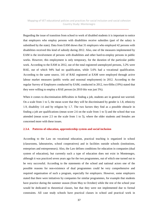\_\_\_\_\_\_\_\_\_\_\_\_\_\_\_\_\_\_\_\_\_\_\_\_\_\_\_\_\_\_\_\_\_\_\_\_\_\_\_\_\_\_\_\_\_\_\_\_\_\_\_\_\_\_\_\_\_\_\_\_\_\_\_\_\_\_\_\_\_\_

Regarding the issue of transition from school to work of disabled students it is important to notice that employers who employ persons with disabilities receive subsidies (part of the salary is subsidised by the state). Data from EAM shows that 31 employers who employed 42 persons with disabilities received this kind of subsidy during 2012. Also, one of the measures implemented by EAM is the involvement of persons with disabilities and other hard-to-employ persons in public works. However, this employment is only temporary, for the duration of the particular public work. According to the EAM in 2012, out of the total registered unemployed persons, 3.2% were RAE, out of which 94% had no qualification, while 5.6% had a vocational qualification. According to the same source, 141 of RAE registered at EAM were employed through active labour market measures (public works and seasonal employment) in 2012. According to the regular Survey of Employers conducted by EAM, conducted in 2012, two-fifths (19%) stated that they were willing to employ a RAE person (in 2010 this was just 5%).

When it comes to discrimination difficulties in finding a job, students are in general not worried. On a scale from 1 to 5, the mean score that they will be discriminated by gender is 1.8, ethnicity 1.9, disability 1.6 and by religion by 1.7. The two factors they find as a possible obstacle in finding a job are qualifications (mean score 2.6 on the scale from 1 to 5) and the school that was attended (mean score 2.5 on the scale from 1 to 5), where the older students and females are concerned more with these issues.

#### **2.3.4. Patterns of education, apprenticeship system and social inclusion**

According to the Law on vocational education, practical teaching is organized in school (classrooms, laboratories, school cooperatives) and in facilities outside schools (institutions, enterprises and entrepreneurs). Also, the Law defines conditions for education in companies (dual system of education), but currently such a type of education does not exist in Montenegro, although it was practiced seven years ago for the two programmes, out of which one turned out to be very successful. According to the statements of the school and national actors one of the possible reasons for non-existence of dual programmes could be very comprehensive and required organisation of such a program, especially for employers. However, some employers stated that there were initiatives by companies for similar programmes, for example that students have practice during the summer season (from May to October) while the rest of the school year would be dedicated to theoretical classes, but that they were not implemented due to formal constraints. All case study schools have practical classes in school and practical work in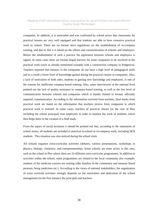\_\_\_\_\_\_\_\_\_\_\_\_\_\_\_\_\_\_\_\_\_\_\_\_\_\_\_\_\_\_\_\_\_\_\_\_\_\_\_\_\_\_\_\_\_\_\_\_\_\_\_\_\_\_\_\_\_\_\_\_\_\_\_\_\_\_\_\_\_\_

companies. In addition, it is noticeable and was confirmed by school actors that classrooms for practical lessons are very well equipped and that students are able to have extensive practical work in school. There are no formal strict regulations on the establishment of in-company training, and due to that it is based on the efforts and communication of schools and employers. Before the establishment of such a practice the agreement between schools and employers is signed. In some cases there are formal (legal) barriers for some companies to be involved in the practical work (such as already mentioned example with a construction company in Podgorica). Teachers reported that mentors in the companies do not have a high level of pedagogical skills and as a result a lower level of knowledge gained during the practical classes in companies. Also, a lack of motivation of both sides, students in gaining new knowledge and employers, is one of the reasons for inefficient company-based training. Also, some interviewees at the national level pointed out the lack of quality assurance in company-based training, as well as the low level of communication between schools and companies which is mainly limited to formal, officially required, communication. According to the information received from teachers, final marks from practical work are based on the information that teachers receive from companies in which practical work is realized. In some cases, teachers of practical classes (in the case of Plav including the school principal) visit employers in order to monitor the work of students, which then helps them in the creation of a final mark.

From the aspect of social inclusion it should be pointed out that, according to the statements of school actors, all students are included in practical in-school or in-company work, including SEN students. This situation was also noticed during the school visits.

All schools organize extra-curricular activities (debates, various presentations, workshops in physics, biology, chemistry, and entrepreneurship). Some schools are more active in this area, such as the school in Plav where there are 24 different extra-curricular programmes. In addition to activities within the school, some programmes are related to the local community (for example: students of the medicine courses are visiting older families in the community and measure blood pressure, bring medicines etc.). According to the views of national stakeholders, the organisation of extra curricula activities strongly depends on the motivation and dedication of the school management (in the first instance the principal) and teachers.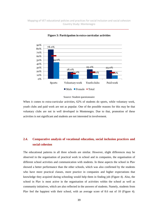\_\_\_\_\_\_\_\_\_\_\_\_\_\_\_\_\_\_\_\_\_\_\_\_\_\_\_\_\_\_\_\_\_\_\_\_\_\_\_\_\_\_\_\_\_\_\_\_\_\_\_\_\_\_\_\_\_\_\_\_\_\_\_\_\_\_\_\_\_\_



**Figure 3: Participation in extra-curricular activities** 



When it comes to extra-curricular activities, 62% of students do sports, while voluntary work, youth clubs and paid work are not as popular. One of the possible reasons for this may be that voluntary clubs are not in well developed in Montenegro. Due to that, promotion of these activities is not significant and students are not interested in involvement.

# **2.4. Comparative analysis of vocational education, social inclusion practices and social cohesion**

The educational patterns in all three schools are similar. However, slight differences may be observed in the organisation of practical work in school and in companies, the organisation of different school activities and communication with students. In these aspects the school in Plav showed a better performance than the other schools, which was also confirmed by the students who have more practical classes, more practice in companies and higher expectations that knowledge they acquired during schooling would help them in finding job (Figure 4). Also, the school in Plav is most active in the organisation of activities within the school as well as community initiatives, which are also reflected in the answers of students. Namely, students from Plav feel the happiest with their school, with an average score of 8.6 out of 10 (Figure 4).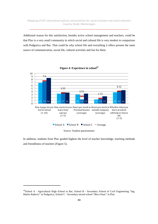Additional reason for this satisfaction, besides active school management and teachers, could be that Plav is a very small community in which social and cultural life is very modest in comparison with Podgorica and Bar. That could be why school life and everything it offers present the main source of communication, social life, cultural activities and fun for them.



**Figure 4: Experience in school<sup>18</sup>**

In addition, students from Plav graded highest the level of teacher knowledge, teaching methods and friendliness of teachers (Figure 5).

l

<sup>&</sup>lt;sup>18</sup>School A - Agricultural High School in Bar, School B - Secondary School of Civil Engineering "Ing. Marko Radevic" in Podgorica, School C - Secondary mixed school "Beco Pasic" in Plav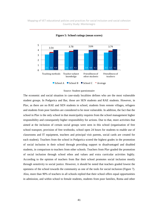\_\_\_\_\_\_\_\_\_\_\_\_\_\_\_\_\_\_\_\_\_\_\_\_\_\_\_\_\_\_\_\_\_\_\_\_\_\_\_\_\_\_\_\_\_\_\_\_\_\_\_\_\_\_\_\_\_\_\_\_\_\_\_\_\_\_\_\_\_\_



**Figure 5: School ratings (mean scores)** 

#### Source: Student questionnaire

The economic and social situation in case-study localities defines who are the most vulnerable student groups. In Podgorica and Bar, those are SEN students and RAE students. However, in Plav, as there are no RAE and SEN students in school, students from remote villages, refugees and students from poor families are considered to be most vulnerable. In addition, the fact that the school in Plav is the only school in that municipality requires from the school management higher responsibility and consequently higher responsibility for actions. Due to that, more activities that aimed at the inclusion of certain social groups were seen in this school (organisation of free school transport, provision of free textbooks, school open 24 hours for students to enable use of classrooms and IT equipment, teachers and principal visit parents, social cards are created for each student). Teachers from the school in Podgorica scored the highest grades in the promotion of social inclusion in their school through providing support to disadvantaged and disabled students, in comparison to teachers from other schools. Teachers from Plav graded the promotion of social inclusion through school ethos and values and extra curricular activities highly. According to the opinion of teachers from Bar their school promotes social inclusion mostly through sensitivity to social justice. However, it should be noted that teachers graded lowest the openness of the school towards the community as one of the tools for social inclusion (Figure 7). Also, more than 90% of teachers in all schools replied that their school offers equal opportunities in admission, and within school to female students, students from poor families, Roma and other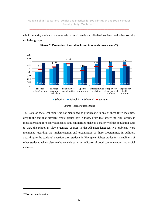\_\_\_\_\_\_\_\_\_\_\_\_\_\_\_\_\_\_\_\_\_\_\_\_\_\_\_\_\_\_\_\_\_\_\_\_\_\_\_\_\_\_\_\_\_\_\_\_\_\_\_\_\_\_\_\_\_\_\_\_\_\_\_\_\_\_\_\_\_\_

ethnic minority students, students with special needs and disabled students and other socially excluded groups.





The issue of social cohesion was not mentioned as problematic in any of these three localities, despite the fact that different ethnic groups live in those. From that aspect the Plav locality is most interesting for observation since ethnic minorities make up a majority of the population. Due to that, the school in Plav organized courses in the Albanian language. No problems were mentioned regarding the implementation and organisation of those programmes. In addition, according to the students' questionnaire, students in Plav gave highest grades for friendliness of other students, which also maybe considered as an indicator of good communication and social cohesion.

l

Source: Teacher questionnaire

<sup>&</sup>lt;sup>19</sup>Teacher questionnaire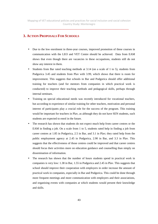\_\_\_\_\_\_\_\_\_\_\_\_\_\_\_\_\_\_\_\_\_\_\_\_\_\_\_\_\_\_\_\_\_\_\_\_\_\_\_\_\_\_\_\_\_\_\_\_\_\_\_\_\_\_\_\_\_\_\_\_\_\_\_\_\_\_\_\_\_\_

# **3. ACTION PROPOSALS FOR SCHOOLS**

- Due to the low enrolment in three-year courses, improved promotion of these courses in communication with the LEO and VET Centre should be achieved. Data from EAM shows that even though there are vacancies in these occupations, students still do not show any interest in them.
- Students from Bar rated teaching methods at 3.14 (on a scale of 1 to 5), students from Podgorica 3.45 and students from Plav with 3.99, which shows that there is room for improvement. This suggests that schools in Bar and Podgorica should offer additional training for teachers (and for mentors from companies in which practical work is conducted) to improve their teaching methods and pedagogical skills, perhaps through internal seminars.
- Training on special educational needs was recently introduced for vocational teachers, but according to experience of similar training for other teachers, motivation and personal interest of participants play a crucial role for the success of the program. This training would be important for teachers in Plav, as although they do not have SEN students, such students are expected to enrol in the future.
- The research has shown that students do not expect much help from career centres or the EAM in finding a job. On a scale from 1 to 5, students rated help in finding a job from career centres at 1.85 in Podgorica, 2.5 in Bar, and 3.1 in Plav; they rated help from the public employment agency at 2.45 in Podgorica, 2.90 in Bar, and 3.3 in Plav. This suggests that the effectiveness of those centres could be improved and that career centres should focus their activities more on education guidance and counselling than simply on dissemination of information.
- The research has shown that the number of hours students spend in practical work in companies is very low: 1.38 in Bar, 1.55 in Podgorica and 2.45 in Plav. This suggests that school should improve their cooperation with employers in order increase the amount of practical work in companies, especially in Bar and Podgorica. This could be done through more frequent meetings and more communication with employers and their associations, and organising events with companies at which students would present their knowledge and skills.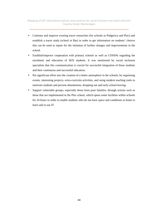\_\_\_\_\_\_\_\_\_\_\_\_\_\_\_\_\_\_\_\_\_\_\_\_\_\_\_\_\_\_\_\_\_\_\_\_\_\_\_\_\_\_\_\_\_\_\_\_\_\_\_\_\_\_\_\_\_\_\_\_\_\_\_\_\_\_\_\_\_\_

- Continue and improve existing tracer researches (for schools in Podgorica and Plav) and establish a tracer study (school in Bar) in order to get information on students' choices that can be used as inputs for the initiation of further changes and improvements in the school.
- Establish/improve cooperation with primary schools as well as COSSNs regarding the enrolment and education of SEN students. It was mentioned by social inclusion specialists that this communication is crucial for successful integration of those students and their continuous and successful education.
- Put significant effort into the creation of a better atmosphere in the schools, by organising events, interesting projects, extra-curricula activities, and using modern teaching tools to motivate students and prevent absenteeism, dropping out and early school leaving.
- Support vulnerable groups, especially those from poor families, through actions such as those that are implemented in the Plav school, which opens some facilities within schools for 24 hours in order to enable students who do not have space and conditions at home to learn and to use IT.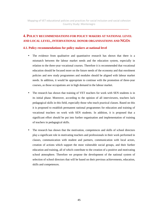\_\_\_\_\_\_\_\_\_\_\_\_\_\_\_\_\_\_\_\_\_\_\_\_\_\_\_\_\_\_\_\_\_\_\_\_\_\_\_\_\_\_\_\_\_\_\_\_\_\_\_\_\_\_\_\_\_\_\_\_\_\_\_\_\_\_\_\_\_\_

# **4. POLICY RECOMMENDATIONS FOR POLICY MAKERS AT NATIONAL LEVEL AND LOCAL LEVEL, INTERNATIONAL DONOR ORGANISATIONS AND NGOS**

#### **4.1. Policy recommendations for policy makers at national level**

- The evidence from qualitative and quantitative research has shown that there is a mismatch between the labour market needs and the education system, especially in relation to the three-year vocational courses. Therefore it is recommended that vocational education should be focused more on the future needs of the economy and that enrolment policies and new study programmes and modules should be aligned with labour market needs. In addition, it would be appropriate to continue with the promotion of three-year courses, as those occupations are in high demand in the labour market.
- The research has shown that training of VET teachers for work with SEN students is in its initial phase. Moreover, according to the opinion of all interviewees, teachers lack pedagogical skills in this field, especially those who teach practical classes. Based on this it is proposed to establish permanent national programmes for education and training of vocational teachers on work with SEN students. In addition, it is proposed that a significant effort should be put into further organisation and implementation of training of teachers in pedagogical skills.
- The research has shown that the motivation, competences and skills of school directors play a significant role in motivating teachers and professionals in their work performed in classes, communication with student and partners, communication with local actors, creation of actions which support the most vulnerable social groups, and their further education and training, all of which contribute to the creation of a positive and motivating school atmosphere. Therefore we propose the development of the national system of selection of school directors that will be based on their previous achievements, education, skills and competences.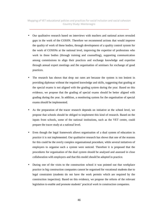\_\_\_\_\_\_\_\_\_\_\_\_\_\_\_\_\_\_\_\_\_\_\_\_\_\_\_\_\_\_\_\_\_\_\_\_\_\_\_\_\_\_\_\_\_\_\_\_\_\_\_\_\_\_\_\_\_\_\_\_\_\_\_\_\_\_\_\_\_\_

- Our qualitative research based on interviews with teachers and national actors revealed gaps in the work of the COSSN. Therefore we recommend actions that would improve the quality of work of these bodies, through development of a quality control system for the work of COSSNs at the national level, improving the expertise of professions who work in these bodies (through training and counselling), supporting communication among commissions to align their practices and exchange knowledge and expertise through annual expert meetings and the organisation of seminars for exchange of good practices.
- The research has shown that drop out rates are because the system is too lenient in providing diplomas without the required knowledge and skills, suggesting that grading at the special exams is not aligned with the grading system during the year. Based on this evidence, we propose that the grading of special exams should be better aligned with grading during the year. In addition, a monitoring system for the organisation of special exams should be implemented.
- As the preparation of the tracer research depends on initiative at the school level, we propose that schools should be obliged to implement this kind of research. Based on the inputs from schools, some of the national institutions, such as the VET centre, could prepare the tracer study at a national level.
- Even though the legal framework allows organisation of a dual system of education in practice it is not implemented. Our qualitative research has shows that one of the reasons for this could be the overly complex organisational procedure, while several initiatives of employers to organise such a system were noticed. Therefore it is proposed that the procedures for organisation of the dual system should be analysed and assessed in close collaboration with employers and that this model should be adopted in practice.
- During one of the visits to the construction school it was pointed out that workplace practice in big construction companies cannot be organised for vocational students due to legal constraints (students do not have the work permits which are required by the construction inspection). Based on this evidence, we propose the reform of the relevant legislation to enable and promote students' practical work in construction companies.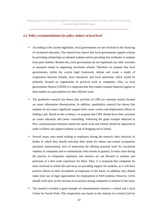\_\_\_\_\_\_\_\_\_\_\_\_\_\_\_\_\_\_\_\_\_\_\_\_\_\_\_\_\_\_\_\_\_\_\_\_\_\_\_\_\_\_\_\_\_\_\_\_\_\_\_\_\_\_\_\_\_\_\_\_\_\_\_\_\_\_\_\_\_\_

#### **4.2. Policy recommendations for policy makers at local level**

- According to the current legislation, local governments are not involved in the financing of vocational education. The research has shown that local governments support schools by providing scholarships to talented students and by providing free textbooks to students from poor families. Besides this, local governments do not implement any other activities or measures aimed at supporting vocational schools. Therefore we propose that local governments, within the current legal framework, initiate and create a model of cooperation between schools, local enterprises and local authorities which would be primarily focused on organisation of practical work in companies. Also, as local governments finance COSSN it is important that they enable constant financial support to those bodies as a precondition for their efficient work.
- The qualitative research has shown that activities of CIPS are currently mainly focused on career information dissemination. In addition, quantitative research has shown that students do not expect significant support from career centres and employment offices in finding a job. Based on this evidence, we propose that CIPS should focus their activities on career education and career counselling. Following the good example observed in Plav, communication between centres for social work and schools should be improved in order to follow and support students at risk of dropping out of school.
- Several issues were noted relating to employers during the research: their inactivity in bodies in which they should articulate their needs for labour and certain occupations (sectorial commissions), lack of motivation for offering practical work for vocational students in companies and to communicate with schools in general, in some cases during the practice in companies employers and mentors are not devoted to students and provision of a best work experience for them. Thus, it is proposed that companies be more involved in school life and focus on providing support for students, as it will have positive effects on their recruitment of employees in the future. In addition, they should make more use of legal opportunities for employment of SEN students. However, LEOs should work more on the increase of awareness among companies in relation to this issue.
- The research revealed a good example of communication between a school and a local Centre for Social Work. This cooperation was based on the creation of a Social Card for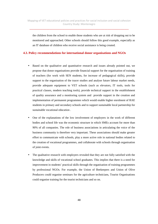the children from the school to enable those students who are at risk of dropping out to be monitored and approached. Other schools should follow this good example, especially as an IT database of children who receive social assistance is being created.

#### **4.3. Policy recommendations for international donor organisations and NGOs**

- Based on the qualitative and quantitative research and issues already pointed out, we propose that donor organisations provide financial support for the organisation of training of teachers (for work with SEN students, for increase of pedagogical skills), provide support to the organisation of the tracer studies and analyse future labour market needs, provide adequate equipment to VET schools (such as elevators, IT tools, tools for practical classes, modern teaching tools), provide technical support in the establishment of quality assurance and a monitoring system and provide support in the creation and implementation of permanent programmes which would enable higher enrolment of RAE students in primary and secondary schools and to support sustainable local partnership for sustainable vocational education .
- One of the explanations of the low involvement of employers in the work of different bodies and school life was the economic structure in which SMEs account for more than 90% of all companies. The role of business associations in articulating the voice of the business community is therefore very important. These associations should make greater effort to communicate with schools, play a more active role in national bodies related to the creation of vocational programmes, and collaborate with schools through organisation of joint events.
- The qualitative research with employers revealed that they are not fully satisfied with the knowledge and skills of vocational school graduates. This implies that there is a need for improvement in students' practical skills through the organisation of training programmes by professional NGOs. For example, the Union of Beekeepers and Union of Olive Producers could organise seminars for the agriculture technicians, Tourist Organisations could organise training for the tourist technicians and so on.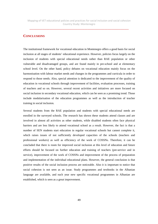#### **CONCLUSIONS**

The institutional framework for vocational education in Montenegro offers a good basis for social inclusion at all stages of students' educational experience. However, policies focus largely on the inclusion of students with special educational needs rather than RAE population or other vulnerable and disadvantaged groups, and are found mainly in pre-school and at elementary school level. On the other hand, policy debates on vocational education mainly focus on the harmonisation with labour market needs and changes in the programmes and curricula in order to respond to those needs. Also, special attention is dedicated to the improvement of the quality of education in vocational schools through improvement of facilities, evaluation processes, training of teachers and so on. However, several recent activities and initiatives are more focused on social inclusion in secondary vocational education, which can be seen as a promising trend. Those include modularisation of the education programmes as well as the introduction of teacher training in social inclusion.

Several students from the RAE population and students with special educational needs are enrolled in the surveyed schools. The research has shown these students attend classes and are involved in almost all activities as other students, while disabled students often face physical barriers and are less likely to attend vocational school as a result. However, the fact is that a number of SEN students start education in regular vocational schools but cannot complete it, which raises issues of not sufficiently developed capacities of the schools (teachers and professional workers) as well as efficiency of the work of COSSNs. Therefore, it can be concluded that there is room for improved social inclusion at this level of education and future efforts should be focused on further education and training of teachers (pre-service and in service), improvement of the work of COSSNs and improvement of the process of preparation and implementation of the individual educational plans. However, the general conclusion is that positive results of the social inclusion process are noticeable. Also it is important to notice that social cohesion is not seen as an issue. Study programmes and textbooks in the Albanian language are available, and each year new specific vocational programmes in Albanian are established, which is seen as a great improvement.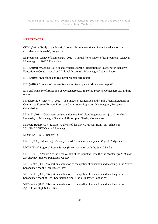\_\_\_\_\_\_\_\_\_\_\_\_\_\_\_\_\_\_\_\_\_\_\_\_\_\_\_\_\_\_\_\_\_\_\_\_\_\_\_\_\_\_\_\_\_\_\_\_\_\_\_\_\_\_\_\_\_\_\_\_\_\_\_\_\_\_\_\_\_\_

# **REFERENCES**

CEMI (2011) "Study of the Practical policy: From integrative to inclusive education: in accordance with needs", Podgorica

Employment Agency of Montenegro (2012) "Annual Work Report of Employment Agency in Montenegro in 2012", Podgorica

ETF (2010a) "Mapping Policies and Practices for the Preparation of Teachers for Inclusive Education in Context Social and Cultural Diversity", Montenegro Country Report

ETF (2010b) "Education and Business: Montenegro report"

ETF (2010c) "Review of Human Resources Development, Montenegro report"

ETF and Ministry of Education of Montenegro (2012) Torino Process-Montenegro 2012, draft report

Kaludjerovic J., Grečić V. (2012) "The Impact of Emigration and Rural Urban Migrations in Central and Eastern Europe, European Commission-Report on Montenegro", European Commission

Milic, T. (2011) "Obrazovna politika u domenu intekulturalnog obrazovanja u Crnoj Gori", University of Montenegro, Faculty of Philosophy, Niksic, Montenegro

Mitrovic-Radosevic V. (2013) "Analysis of the Early Drop Out from VET Schools in 2011/2012", VET Centre, Montenegro

MONSTAT (2012) Report Q2

UNDP (2009) "Montenegro-Society For All", *Human Development Report*, Podgorica: UNDP

UNDP (2011) Regional Roma Survey (in collaboration with the World Bank)

UNDP (2013) "People Are the Real Wealth of the Country: How Rich is Montenegro?" *Human Development Report*, Podgorica: UNDP

VET Centre (2010) "Report on evaluation of the quality of education and teaching in the Mixed Secondary School "Bećo Basic" Plav

VET Centre (2010) "Report on evaluation of the quality of education and teaching in the the Secondary School of Civil Engineering "Ing. Marko Radevic" Podgorica"

VET Centre (2010) "Report on evaluation of the quality of education and teaching in the Agricultural High School Bar"